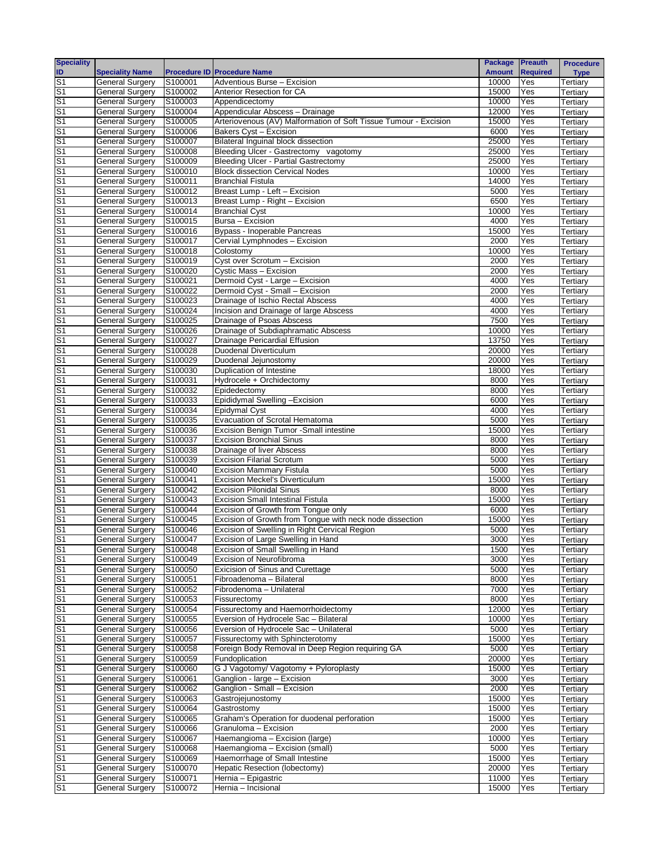| <b>Speciality</b>                |                                                  |                    |                                                                              | Package Preauth |                 | <b>Procedure</b>     |
|----------------------------------|--------------------------------------------------|--------------------|------------------------------------------------------------------------------|-----------------|-----------------|----------------------|
| ID                               | <b>Speciality Name</b>                           |                    | <b>Procedure ID Procedure Name</b>                                           | <b>Amount</b>   | <b>Required</b> | <b>Type</b>          |
| S <sub>1</sub>                   | <b>General Surgery</b>                           | S100001            | Adventious Burse - Excision                                                  | 10000           | Yes             | Tertiary             |
| S <sub>1</sub>                   | General Surgery                                  | S100002            | Anterior Resection for CA                                                    | 15000           | Yes             | Tertiary             |
| S <sub>1</sub>                   | <b>General Surgery</b>                           | S100003            | Appendicectomy                                                               | 10000           | Yes             | Tertiary             |
| S <sub>1</sub>                   | <b>General Surgery</b>                           | S100004            | Appendicular Abscess - Drainage                                              | 12000           | Yes             | Tertiary             |
| S <sub>1</sub>                   | <b>General Surgery</b>                           | S100005            | Arteriovenous (AV) Malformation of Soft Tissue Tumour - Excision             | 15000           | Yes             | Tertiary             |
| S <sub>1</sub>                   | <b>General Surgery</b>                           | S100006            | Bakers Cyst - Excision                                                       | 6000            | Yes             | Tertiary             |
| S <sub>1</sub><br>S <sub>1</sub> | <b>General Surgery</b><br><b>General Surgery</b> | S100007<br>S100008 | Bilateral Inguinal block dissection<br>Bleeding Ulcer - Gastrectomy vagotomy | 25000<br>25000  | Yes<br>Yes      | Tertiary             |
| S <sub>1</sub>                   | <b>General Surgery</b>                           | S100009            | <b>Bleeding Ulcer - Partial Gastrectomy</b>                                  | 25000           | Yes             | Tertiary<br>Tertiary |
| S <sub>1</sub>                   | <b>General Surgery</b>                           | S100010            | <b>Block dissection Cervical Nodes</b>                                       | 10000           | Yes             | Tertiary             |
| S <sub>1</sub>                   | <b>General Surgery</b>                           | S100011            | <b>Branchial Fistula</b>                                                     | 14000           | Yes             | Tertiary             |
| S <sub>1</sub>                   | <b>General Surgery</b>                           | S100012            | Breast Lump - Left - Excision                                                | 5000            | Yes             | Tertiary             |
| S <sub>1</sub>                   | <b>General Surgery</b>                           | S100013            | Breast Lump - Right - Excision                                               | 6500            | Yes             | Tertiary             |
| S <sub>1</sub>                   | <b>General Surgery</b>                           | S100014            | <b>Branchial Cyst</b>                                                        | 10000           | Yes             | Tertiary             |
| S <sub>1</sub>                   | General Surgery                                  | S100015            | Bursa - Excision                                                             | 4000            | Yes             | Tertiary             |
| S <sub>1</sub>                   | <b>General Surgery</b>                           | S100016            | Bypass - Inoperable Pancreas                                                 | 15000           | Yes             | Tertiary             |
| S <sub>1</sub>                   | <b>General Surgery</b>                           | S100017            | Cervial Lymphnodes - Excision                                                | 2000            | Yes             | Tertiary             |
| S <sub>1</sub>                   | <b>General Surgery</b>                           | S100018            | Colostomy                                                                    | 10000           | Yes             | Tertiary             |
| S <sub>1</sub>                   | <b>General Surgery</b>                           | S100019            | Cyst over Scrotum - Excision                                                 | 2000            | Yes             | Tertiary             |
| S <sub>1</sub>                   | <b>General Surgery</b>                           | S100020            | Cystic Mass - Excision                                                       | 2000            | Yes             | Tertiary             |
| S <sub>1</sub>                   | <b>General Surgery</b>                           | S100021            | Dermoid Cyst - Large - Excision                                              | 4000            | Yes             | Tertiary             |
| S <sub>1</sub>                   | <b>General Surgery</b>                           | S100022            | Dermoid Cyst - Small - Excision                                              | 2000            | Yes             | Tertiary             |
| S <sub>1</sub>                   | <b>General Surgery</b>                           | S100023            | Drainage of Ischio Rectal Abscess                                            | 4000            | Yes             | Tertiary             |
| S <sub>1</sub>                   | <b>General Surgery</b>                           | S100024            | Incision and Drainage of large Abscess                                       | 4000            | Yes             | Tertiary             |
| S <sub>1</sub>                   | <b>General Surgery</b>                           | S100025            | Drainage of Psoas Abscess                                                    | 7500            | Yes             | Tertiary             |
| S <sub>1</sub>                   | <b>General Surgery</b>                           | S100026            | Drainage of Subdiaphramatic Abscess                                          | 10000           | Yes             | Tertiary             |
| S <sub>1</sub>                   | <b>General Surgery</b>                           | S100027            | Drainage Pericardial Effusion                                                | 13750           | Yes             | Tertiary             |
| S <sub>1</sub>                   | General Surgery                                  | S100028            | Duodenal Diverticulum                                                        | 20000           | Yes             | Tertiary             |
| S <sub>1</sub>                   | <b>General Surgery</b>                           | S100029            | Duodenal Jejunostomy                                                         | 20000           | Yes             | Tertiary             |
| S <sub>1</sub>                   | <b>General Surgery</b>                           | S100030            | Duplication of Intestine                                                     | 18000           | Yes             | Tertiary             |
| S <sub>1</sub><br>S <sub>1</sub> | <b>General Surgery</b><br><b>General Surgery</b> | S100031<br>S100032 | Hydrocele + Orchidectomy<br>Epidedectomy                                     | 8000<br>8000    | Yes<br>Yes      | Tertiary             |
| S <sub>1</sub>                   | <b>General Surgery</b>                           | S100033            | Epididymal Swelling - Excision                                               | 6000            | Yes             | Tertiary             |
| S <sub>1</sub>                   | <b>General Surgery</b>                           | S100034            | Epidymal Cyst                                                                | 4000            | Yes             | Tertiary<br>Tertiary |
| S <sub>1</sub>                   | <b>General Surgery</b>                           | S100035            | Evacuation of Scrotal Hematoma                                               | 5000            | Yes             | Tertiary             |
| S <sub>1</sub>                   | <b>General Surgery</b>                           | S100036            | Excision Benign Tumor -Small intestine                                       | 15000           | Yes             | Tertiary             |
| S <sub>1</sub>                   | <b>General Surgery</b>                           | S100037            | <b>Excision Bronchial Sinus</b>                                              | 8000            | Yes             | Tertiary             |
| S <sub>1</sub>                   | <b>General Surgery</b>                           | S100038            | Drainage of liver Abscess                                                    | 8000            | Yes             | Tertiary             |
| S <sub>1</sub>                   | <b>General Surgery</b>                           | S100039            | <b>Excision Filarial Scrotum</b>                                             | 5000            | Yes             | Tertiary             |
| S <sub>1</sub>                   | <b>General Surgery</b>                           | S100040            | <b>Excision Mammary Fistula</b>                                              | 5000            | Yes             | Tertiary             |
| S <sub>1</sub>                   | General Surgery                                  | S100041            | <b>Excision Meckel's Diverticulum</b>                                        | 15000           | Yes             | Tertiary             |
| S <sub>1</sub>                   | <b>General Surgery</b>                           | S100042            | <b>Excision Pilonidal Sinus</b>                                              | 8000            | Yes             | Tertiary             |
| S <sub>1</sub>                   | <b>General Surgery</b>                           | S100043            | <b>Excision Small Intestinal Fistula</b>                                     | 15000           | Yes             | Tertiary             |
| S <sub>1</sub>                   | <b>General Surgery</b>                           | S100044            | Excision of Growth from Tonque only                                          | 6000            | Yes             | Tertiary             |
| S <sub>1</sub>                   | <b>General Surgery</b>                           | S100045            | Excision of Growth from Tongue with neck node dissection                     | 15000           | Yes             | Tertiary             |
| S <sub>1</sub>                   | <b>General Surgery</b>                           | S100046            | Excision of Swelling in Right Cervical Region                                | 5000            | Yes             | Tertiary             |
| S <sub>1</sub>                   | General Surgery                                  | S100047            | Excision of Large Swelling in Hand                                           | 3000            | Yes             | Tertiary             |
| S <sub>1</sub>                   | <b>General Surgery</b>                           | S100048            | Excision of Small Swelling in Hand                                           | 1500            | Yes             | Tertiary             |
| S <sub>1</sub>                   | <b>General Surgery</b>                           | S100049            | Excision of Neurofibroma                                                     | 3000            | Yes             | Tertiary             |
| S <sub>1</sub>                   | <b>General Surgery</b>                           | S100050            | <b>Exicision of Sinus and Curettage</b>                                      | 5000            | Yes             | Tertiary             |
| S <sub>1</sub>                   | <b>General Surgery</b>                           | S100051            | Fibroadenoma - Bilateral                                                     | 8000            | Yes             | Tertiary             |
| S <sub>1</sub>                   | <b>General Surgery</b>                           | S100052            | Fibrodenoma - Unilateral                                                     | 7000            | Yes             | Tertiary             |
| S <sub>1</sub>                   | <b>General Surgery</b>                           | S100053            | Fissurectomy                                                                 | 8000            | Yes             | Tertiary             |
| S <sub>1</sub><br>S <sub>1</sub> | <b>General Surgery</b>                           | S100054<br>S100055 | Fissurectomy and Haemorrhoidectomy<br>Eversion of Hydrocele Sac - Bilateral  | 12000<br>10000  | Yes             | Tertiary             |
| S <sub>1</sub>                   | <b>General Surgery</b><br><b>General Surgery</b> | S100056            | Eversion of Hydrocele Sac - Unilateral                                       | 5000            | Yes<br>Yes      | Tertiary             |
| S <sub>1</sub>                   | <b>General Surgery</b>                           | S100057            | Fissurectomy with Sphincterotomy                                             | 15000           | Yes             | Tertiary<br>Tertiary |
| S <sub>1</sub>                   | <b>General Surgery</b>                           | S100058            | Foreign Body Removal in Deep Region requiring GA                             | 5000            | Yes             | Tertiary             |
| S <sub>1</sub>                   | <b>General Surgery</b>                           | S100059            | Fundoplication                                                               | 20000           | Yes             | Tertiary             |
| $\overline{S}$                   | <b>General Surgery</b>                           | S100060            | G J Vagotomy/ Vagotomy + Pyloroplasty                                        | 15000           | Yes             | Tertiary             |
| S <sub>1</sub>                   | <b>General Surgery</b>                           | S100061            | Ganglion - large - Excision                                                  | 3000            | Yes             | Tertiary             |
| S <sub>1</sub>                   | <b>General Surgery</b>                           | S100062            | Ganglion - Small - Excision                                                  | 2000            | Yes             | Tertiary             |
| S <sub>1</sub>                   | <b>General Surgery</b>                           | S100063            | Gastrojejunostomy                                                            | 15000           | Yes             | Tertiary             |
| S <sub>1</sub>                   | <b>General Surgery</b>                           | S100064            | Gastrostomy                                                                  | 15000           | Yes             | Tertiary             |
| S <sub>1</sub>                   | <b>General Surgery</b>                           | S100065            | Graham's Operation for duodenal perforation                                  | 15000           | Yes             | Tertiary             |
| S <sub>1</sub>                   | <b>General Surgery</b>                           | S100066            | Granuloma - Excision                                                         | 2000            | Yes             | Tertiary             |
| S <sub>1</sub>                   | <b>General Surgery</b>                           | S100067            | Haemangioma - Excision (large)                                               | 10000           | Yes             | Tertiary             |
| S <sub>1</sub>                   | <b>General Surgery</b>                           | S100068            | Haemangioma - Excision (small)                                               | 5000            | Yes             | Tertiary             |
| S <sub>1</sub>                   | <b>General Surgery</b>                           | S100069            | Haemorrhage of Small Intestine                                               | 15000           | Yes             | Tertiary             |
| S <sub>1</sub>                   | <b>General Surgery</b>                           | S100070            | Hepatic Resection (lobectomy)                                                | 20000           | Yes             | Tertiary             |
| S <sub>1</sub>                   | <b>General Surgery</b>                           | S100071            | Hernia - Epigastric                                                          | 11000           | Yes             | Tertiary             |
| S <sub>1</sub>                   | <b>General Surgery</b>                           | S100072            | Hernia - Incisional                                                          | 15000           | Yes             | Tertiary             |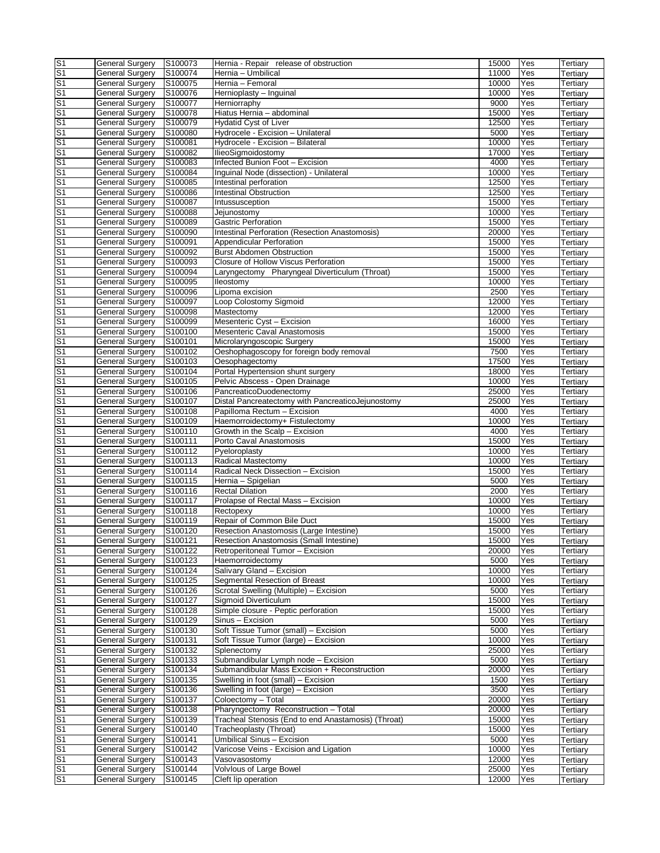| S <sub>1</sub>                   | <b>General Surgery</b>                           | S100073            | Hernia - Repair release of obstruction                    | 15000         | Yes        | Tertiary             |
|----------------------------------|--------------------------------------------------|--------------------|-----------------------------------------------------------|---------------|------------|----------------------|
| S <sub>1</sub>                   | General Surgery                                  | S100074            | Hernia - Umbilical                                        | 11000         | Yes        | Tertiary             |
| S <sub>1</sub>                   | <b>General Surgery</b>                           | S100075            | Hernia - Femoral                                          | 10000         | Yes        | Tertiary             |
| S <sub>1</sub>                   | General Surgery                                  | S100076            | Hernioplasty - Inguinal                                   | 10000         | Yes        | Tertiary             |
| S <sub>1</sub>                   | <b>General Surgery</b>                           | S100077            | Herniorraphy                                              | 9000          | Yes        | Tertiary             |
| S <sub>1</sub>                   | <b>General Surgery</b>                           | S100078            | Hiatus Hernia - abdominal                                 | 15000         | Yes        | Tertiary             |
| S <sub>1</sub>                   | <b>General Surgery</b>                           | S100079            | <b>Hydatid Cyst of Liver</b>                              | 12500         | Yes        | Tertiary             |
| S <sub>1</sub>                   | <b>General Surgery</b>                           | S100080            | Hydrocele - Excision - Unilateral                         | 5000          | Yes        | Tertiary             |
| S <sub>1</sub>                   | <b>General Surgery</b>                           | S100081            | Hydrocele - Excision - Bilateral                          | 10000         | Yes        | Tertiary             |
| S <sub>1</sub>                   | <b>General Surgery</b>                           | S100082            | IlieoSigmoidostomy                                        | 17000         | Yes        | Tertiary             |
| S <sub>1</sub>                   | <b>General Surgery</b>                           | S100083            | Infected Bunion Foot - Excision                           | 4000          | Yes        | Tertiary             |
| S <sub>1</sub>                   | <b>General Surgery</b>                           | S100084            | Inguinal Node (dissection) - Unilateral                   | 10000         | Yes        | Tertiary             |
| S <sub>1</sub>                   | <b>General Surgery</b>                           | S100085            | Intestinal perforation                                    | 12500         | Yes        | Tertiary             |
| S <sub>1</sub>                   | <b>General Surgery</b>                           | S100086            | <b>Intestinal Obstruction</b>                             | 12500         | Yes        | Tertiary             |
| S <sub>1</sub>                   | General Surgery                                  | S100087            | Intussusception                                           | 15000         | Yes        | Tertiary             |
| S <sub>1</sub>                   | General Surgery                                  | S100088            | Jejunostomy                                               | 10000         | Yes        | Tertiary             |
| S <sub>1</sub>                   | <b>General Surgery</b>                           | S100089            | <b>Gastric Perforation</b>                                | 15000         | Yes        | Tertiary             |
| S <sub>1</sub>                   | <b>General Surgery</b>                           | S100090            | <b>Intestinal Perforation (Resection Anastomosis)</b>     | 20000         | Yes        | Tertiary             |
| S <sub>1</sub>                   | <b>General Surgery</b>                           | S100091            | Appendicular Perforation                                  | 15000         | Yes        | Tertiary             |
| S <sub>1</sub>                   | <b>General Surgery</b>                           | S100092            | <b>Burst Abdomen Obstruction</b>                          | 15000         | Yes        | Tertiary             |
| S <sub>1</sub>                   | <b>General Surgery</b>                           | S100093            | Closure of Hollow Viscus Perforation                      | 15000         | Yes        | Tertiary             |
| S <sub>1</sub>                   | <b>General Surgery</b>                           | S100094            | Laryngectomy Pharyngeal Diverticulum (Throat)             | 15000         | Yes        | Tertiary             |
| S <sub>1</sub>                   | <b>General Surgery</b>                           | S100095            | lleostomy                                                 | 10000         | Yes        | Tertiary             |
| S <sub>1</sub>                   | General Surgery                                  | S100096            | Lipoma excision                                           | 2500          | Yes        | Tertiary             |
| $\overline{\mathsf{S}}$ 1        | <b>General Surgery</b>                           | S100097            | Loop Colostomy Sigmoid                                    | 12000         | Yes        | Tertiary             |
| S <sub>1</sub>                   | <b>General Surgery</b>                           | S100098            | Mastectomy                                                | 12000         | Yes        | Tertiary             |
| S <sub>1</sub>                   | <b>General Surgery</b>                           | S100099            | Mesenteric Cyst - Excision                                | 16000         | Yes        | Tertiary             |
| S <sub>1</sub>                   | General Surgery                                  | S100100            | Mesenteric Caval Anastomosis                              | 15000         | Yes        | Tertiary             |
| S <sub>1</sub>                   | <b>General Surgery</b>                           | S100101            | Microlaryngoscopic Surgery                                | 15000         | Yes        | Tertiary             |
| S <sub>1</sub><br>S <sub>1</sub> | <b>General Surgery</b><br><b>General Surgery</b> | S100102<br>S100103 | Oeshophagoscopy for foreign body removal                  | 7500<br>17500 | Yes        | Tertiary             |
| S <sub>1</sub>                   | <b>General Surgery</b>                           |                    | Oesophagectomy                                            | 18000         | Yes        | Tertiary             |
| S <sub>1</sub>                   | <b>General Surgery</b>                           | S100104            | Portal Hypertension shunt surgery                         | 10000         | Yes<br>Yes | Tertiary             |
| S <sub>1</sub>                   | <b>General Surgery</b>                           | S100105<br>S100106 | Pelvic Abscess - Open Drainage<br>PancreaticoDuodenectomy | 25000         | Yes        | Tertiary             |
| S <sub>1</sub>                   | <b>General Surgery</b>                           | S100107            | Distal Pancreatectomy with PancreaticoJejunostomy         | 25000         | Yes        | Tertiary             |
| S <sub>1</sub>                   | <b>General Surgery</b>                           | S100108            | Papilloma Rectum - Excision                               | 4000          | Yes        | Tertiary             |
| S <sub>1</sub>                   | General Surgery                                  | S100109            | Haemorroidectomy+ Fistulectomy                            | 10000         | Yes        | Tertiary<br>Tertiary |
| S <sub>1</sub>                   | General Surgery                                  | S100110            | Growth in the Scalp - Excision                            | 4000          | Yes        | Tertiary             |
| S <sub>1</sub>                   | <b>General Surgery</b>                           | S100111            | Porto Caval Anastomosis                                   | 15000         | Yes        | Tertiary             |
| S <sub>1</sub>                   | General Surgery                                  | S100112            | Pyeloroplasty                                             | 10000         | Yes        | Tertiary             |
| S <sub>1</sub>                   | General Surgery                                  | S100113            | Radical Mastectomy                                        | 10000         | Yes        | Tertiary             |
| S <sub>1</sub>                   | General Surgery                                  | S100114            | Radical Neck Dissection - Excision                        | 15000         | Yes        | Tertiary             |
| S <sub>1</sub>                   | <b>General Surgery</b>                           | S100115            | Hernia - Spigelian                                        | 5000          | Yes        | Tertiary             |
| S <sub>1</sub>                   | <b>General Surgery</b>                           | S100116            | <b>Rectal Dilation</b>                                    | 2000          | Yes        | Tertiary             |
| S <sub>1</sub>                   | General Surgery                                  | S100117            | Prolapse of Rectal Mass - Excision                        | 10000         | Yes        | Tertiary             |
| S <sub>1</sub>                   | <b>General Surgery</b>                           | S100118            | Rectopexy                                                 | 10000         | Yes        | Tertiary             |
| S <sub>1</sub>                   | <b>General Surgery</b>                           | S100119            | Repair of Common Bile Duct                                | 15000         | Yes        | Tertiary             |
| S <sub>1</sub>                   | General Surgery                                  | S100120            | Resection Anastomosis (Large Intestine)                   | 15000         | Yes        | Tertiary             |
| $\overline{\mathsf{s}}$          | <b>General Surgery</b>                           | S100121            | Resection Anastomosis (Small Intestine)                   | 15000         | Yes        | Tertiary             |
| $\overline{\mathsf{s}}$ 1        | <b>General Surgery</b>                           | S100122            | Retroperitoneal Tumor - Excision                          | 20000         | Yes        | Tertiary             |
| $\overline{\mathsf{S}}$ 1        | General Surgery                                  | S100123            | Haemorroidectomy                                          | 5000          | Yes        | Tertiary             |
| $\overline{\mathsf{S}}$ 1        | General Surgery                                  | S100124            | Salivary Gland - Excision                                 | 10000         | Yes        | Tertiary             |
| S <sub>1</sub>                   | <b>General Surgery</b>                           | S100125            | Segmental Resection of Breast                             | 10000         | Yes        | Tertiary             |
| S <sub>1</sub>                   | General Surgery                                  | S100126            | Scrotal Swelling (Multiple) - Excision                    | 5000          | Yes        | Tertiary             |
| S <sub>1</sub>                   | <b>General Surgery</b>                           | S100127            | Sigmoid Diverticulum                                      | 15000         | Yes        | Tertiary             |
| S <sub>1</sub>                   | <b>General Surgery</b>                           | S100128            | Simple closure - Peptic perforation                       | 15000         | Yes        | Tertiary             |
| S <sub>1</sub>                   | <b>General Surgery</b>                           | S100129            | Sinus - Excision                                          | 5000          | Yes        | Tertiary             |
| $\overline{\mathsf{S}}$ 1        | <b>General Surgery</b>                           | S100130            | Soft Tissue Tumor (small) - Excision                      | 5000          | Yes        | Tertiary             |
| S <sub>1</sub>                   | <b>General Surgery</b>                           | S100131            | Soft Tissue Tumor (large) - Excision                      | 10000         | Yes        | Tertiary             |
| $\overline{\mathsf{S}}$ 1        | <b>General Surgery</b>                           | S100132            | Splenectomy                                               | 25000         | Yes        | Tertiary             |
| $\overline{\mathsf{S}}$ 1        | <b>General Surgery</b>                           | S100133            | Submandibular Lymph node - Excision                       | 5000          | Yes        | Tertiary             |
| $\overline{\mathsf{S}}$ 1        | General Surgery                                  | S100134            | Submandibular Mass Excision + Reconstruction              | 20000         | Yes        | Tertiary             |
| $\overline{\mathsf{S}}$ 1        | <b>General Surgery</b>                           | S100135            | Swelling in foot (small) - Excision                       | 1500          | Yes        | Tertiary             |
| $\overline{\mathsf{s}}$ 1        | General Surgery                                  | S100136            | Swelling in foot (large) - Excision                       | 3500          | Yes        | Tertiary             |
| S <sub>1</sub>                   | General Surgery                                  | S100137            | Coloectomy - Total                                        | 20000         | Yes        | Tertiary             |
| S <sub>1</sub>                   | <b>General Surgery</b>                           | S100138            | Pharyngectomy Reconstruction - Total                      | 20000         | Yes        | Tertiary             |
| S <sub>1</sub>                   | General Surgery                                  | S100139            | Tracheal Stenosis (End to end Anastamosis) (Throat)       | 15000         | Yes        | Tertiary             |
| S <sub>1</sub>                   | <b>General Surgery</b>                           | S100140            | Tracheoplasty (Throat)                                    | 15000         | Yes        | Tertiary             |
| S <sub>1</sub>                   | <b>General Surgery</b>                           | S100141            | Umbilical Sinus - Excision                                | 5000          | Yes        | Tertiary             |
| S <sub>1</sub>                   | <b>General Surgery</b>                           | S100142            | Varicose Veins - Excision and Ligation                    | 10000         | Yes        | Tertiary             |
| $\overline{\mathsf{S}}$ 1        | <b>General Surgery</b>                           | S100143            | Vasovasostomy                                             | 12000         | Yes        | Tertiary             |
| S <sub>1</sub>                   | <b>General Surgery</b>                           | S100144            | Volvlous of Large Bowel                                   | 25000         | Yes        | Tertiary             |
| $\overline{S1}$                  | <b>General Surgery</b>                           | S100145            | Cleft lip operation                                       | 12000         | Yes        | Tertiary             |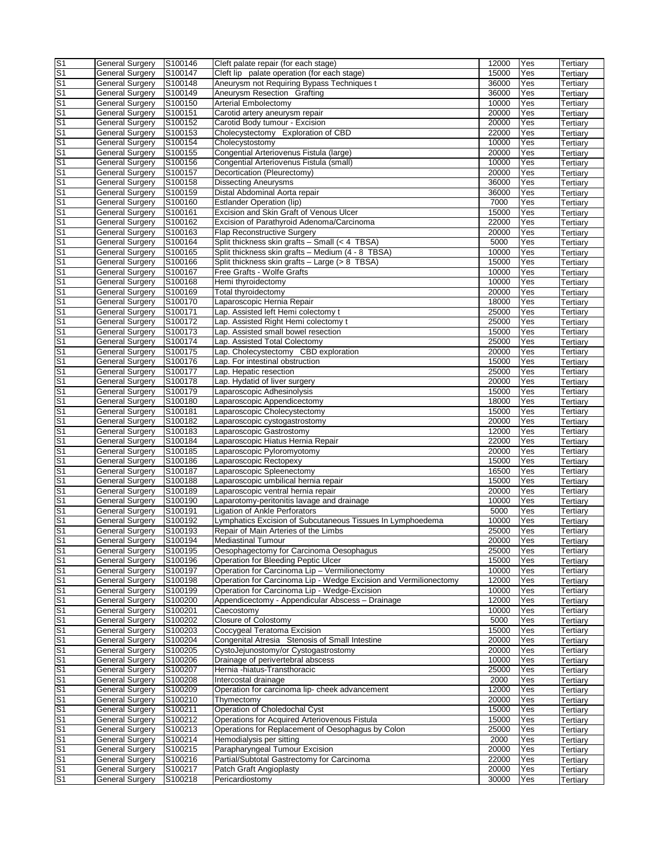| $\overline{\mathsf{S}}$ 1 | <b>General Surgery</b> | S100146 | Cleft palate repair (for each stage)                             | 12000 | Yes | Tertiary |
|---------------------------|------------------------|---------|------------------------------------------------------------------|-------|-----|----------|
| S <sub>1</sub>            | General Surgery        | S100147 | Cleft lip palate operation (for each stage)                      | 15000 | Yes | Tertiary |
| S <sub>1</sub>            | <b>General Surgery</b> | S100148 | Aneurysm not Requiring Bypass Techniques t                       | 36000 | Yes | Tertiary |
| S <sub>1</sub>            | <b>General Surgery</b> | S100149 | Aneurysm Resection Grafting                                      | 36000 | Yes | Tertiary |
| S <sub>1</sub>            | <b>General Surgery</b> | S100150 | <b>Arterial Embolectomy</b>                                      | 10000 | Yes | Tertiary |
| S <sub>1</sub>            | <b>General Surgery</b> | S100151 | Carotid artery aneurysm repair                                   | 20000 | Yes | Tertiary |
| S <sub>1</sub>            | <b>General Surgery</b> | S100152 | Carotid Body tumour - Excision                                   | 20000 | Yes | Tertiary |
| S <sub>1</sub>            | <b>General Surgery</b> |         | Cholecystectomy Exploration of CBD                               | 22000 | Yes |          |
| S <sub>1</sub>            |                        | S100153 |                                                                  |       |     | Tertiary |
|                           | <b>General Surgery</b> | S100154 | Cholecystostomy                                                  | 10000 | Yes | Tertiary |
| S <sub>1</sub>            | <b>General Surgery</b> | S100155 | Congential Arteriovenus Fistula (large)                          | 20000 | Yes | Tertiary |
| S <sub>1</sub>            | <b>General Surgery</b> | S100156 | Congential Arteriovenus Fistula (small)                          | 10000 | Yes | Tertiary |
| S <sub>1</sub>            | <b>General Surgery</b> | S100157 | Decortication (Pleurectomy)                                      | 20000 | Yes | Tertiary |
| S <sub>1</sub>            | <b>General Surgery</b> | S100158 | <b>Dissecting Aneurysms</b>                                      | 36000 | Yes | Tertiary |
| S <sub>1</sub>            | General Surgery        | S100159 | Distal Abdominal Aorta repair                                    | 36000 | Yes | Tertiary |
| S <sub>1</sub>            | General Surgery        | S100160 | Estlander Operation (lip)                                        | 7000  | Yes | Tertiary |
| S <sub>1</sub>            | <b>General Surgery</b> | S100161 | Excision and Skin Graft of Venous Ulcer                          | 15000 | Yes | Tertiary |
| S <sub>1</sub>            | <b>General Surgery</b> | S100162 | Excision of Parathyroid Adenoma/Carcinoma                        | 22000 | Yes | Tertiary |
| S <sub>1</sub>            | <b>General Surgery</b> | S100163 | <b>Flap Reconstructive Surgery</b>                               | 20000 | Yes |          |
|                           |                        |         |                                                                  |       |     | Tertiary |
| S <sub>1</sub>            | <b>General Surgery</b> | S100164 | Split thickness skin grafts $-$ Small (< 4 TBSA)                 | 5000  | Yes | Tertiary |
| S <sub>1</sub>            | <b>General Surgery</b> | S100165 | Split thickness skin grafts - Medium (4 - 8 TBSA)                | 10000 | Yes | Tertiary |
| S <sub>1</sub>            | <b>General Surgery</b> | S100166 | Split thickness skin grafts - Large (> 8 TBSA)                   | 15000 | Yes | Tertiary |
| S <sub>1</sub>            | <b>General Surgery</b> | S100167 | Free Grafts - Wolfe Grafts                                       | 10000 | Yes | Tertiary |
| S <sub>1</sub>            | <b>General Surgery</b> | S100168 | Hemi thyroidectomy                                               | 10000 | Yes | Tertiary |
| S <sub>1</sub>            | <b>General Surgery</b> | S100169 | Total thyroidectomy                                              | 20000 | Yes | Tertiary |
| S <sub>1</sub>            | <b>General Surgery</b> | S100170 | Laparoscopic Hernia Repair                                       | 18000 | Yes | Tertiary |
| S <sub>1</sub>            | <b>General Surgery</b> | S100171 | Lap. Assisted left Hemi colectomy t                              | 25000 | Yes | Tertiary |
| S <sub>1</sub>            | <b>General Surgery</b> | S100172 | Lap. Assisted Right Hemi colectomy t                             | 25000 | Yes | Tertiary |
|                           |                        |         | Lap. Assisted small bowel resection                              | 15000 | Yes |          |
| S <sub>1</sub>            | General Surgery        | S100173 |                                                                  |       |     | Tertiary |
| S <sub>1</sub>            | <b>General Surgery</b> | S100174 | Lap. Assisted Total Colectomy                                    | 25000 | Yes | Tertiary |
| S <sub>1</sub>            | <b>General Surgery</b> | S100175 | Lap. Cholecystectomy CBD exploration                             | 20000 | Yes | Tertiary |
| S <sub>1</sub>            | <b>General Surgery</b> | S100176 | Lap. For intestinal obstruction                                  | 15000 | Yes | Tertiary |
| S <sub>1</sub>            | <b>General Surgery</b> | S100177 | Lap. Hepatic resection                                           | 25000 | Yes | Tertiary |
| S <sub>1</sub>            | General Surgery        | S100178 | Lap. Hydatid of liver surgery                                    | 20000 | Yes | Tertiary |
| S <sub>1</sub>            | <b>General Surgery</b> | S100179 | Laparoscopic Adhesinolysis                                       | 15000 | Yes | Tertiary |
| S <sub>1</sub>            | <b>General Surgery</b> | S100180 | Laparoscopic Appendicectomy                                      | 18000 | Yes | Tertiary |
| S <sub>1</sub>            | <b>General Surgery</b> | S100181 | Laparoscopic Cholecystectomy                                     | 15000 | Yes | Tertiary |
|                           |                        |         |                                                                  |       |     |          |
| S <sub>1</sub>            | General Surgery        | S100182 | Laparoscopic cystogastrostomy                                    | 20000 | Yes | Tertiary |
| S <sub>1</sub>            | General Surgery        | S100183 | Laparoscopic Gastrostomy                                         | 12000 | Yes | Tertiary |
| S <sub>1</sub>            | <b>General Surgery</b> | S100184 | Laparoscopic Hiatus Hernia Repair                                | 22000 | Yes | Tertiary |
| S <sub>1</sub>            | <b>General Surgery</b> | S100185 | Laparoscopic Pyloromyotomy                                       | 20000 | Yes | Tertiary |
| S <sub>1</sub>            | General Surgery        | S100186 | Laparoscopic Rectopexy                                           | 15000 | Yes | Tertiary |
| S <sub>1</sub>            | <b>General Surgery</b> | S100187 | Laparoscopic Spleenectomy                                        | 16500 | Yes | Tertiary |
| S <sub>1</sub>            | <b>General Surgery</b> | S100188 | Laparoscopic umbilical hernia repair                             | 15000 | Yes | Tertiary |
| S <sub>1</sub>            | <b>General Surgery</b> | S100189 | Laparoscopic ventral hernia repair                               | 20000 | Yes | Tertiary |
| S <sub>1</sub>            | <b>General Surgery</b> | S100190 | Laparotomy-peritonitis lavage and drainage                       | 10000 | Yes | Tertiary |
| S <sub>1</sub>            | <b>General Surgery</b> | S100191 | <b>Ligation of Ankle Perforators</b>                             | 5000  | Yes |          |
|                           |                        |         |                                                                  |       |     | Tertiary |
| S <sub>1</sub>            | <b>General Surgery</b> | S100192 | Lymphatics Excision of Subcutaneous Tissues In Lymphoedema       | 10000 | Yes | Tertiary |
| S <sub>1</sub>            | <b>General Surgery</b> | S100193 | Repair of Main Arteries of the Limbs                             | 25000 | Yes | Tertiary |
| $\overline{\mathsf{s}}$ 1 | <b>General Surgery</b> | S100194 | Mediastinal Tumour                                               | 20000 | Yes | Tertiary |
| S <sub>1</sub>            | <b>General Surgery</b> | S100195 | Oesophagectomy for Carcinoma Oesophagus                          | 25000 | Yes | Tertiary |
| S <sub>1</sub>            | <b>General Surgery</b> | S100196 | Operation for Bleeding Peptic Ulcer                              | 15000 | Yes | Tertiary |
| S <sub>1</sub>            | <b>General Surgery</b> | S100197 | Operation for Carcinoma Lip - Vermilionectomy                    | 10000 | Yes | Tertiary |
| S <sub>1</sub>            | <b>General Surgery</b> | S100198 | Operation for Carcinoma Lip - Wedge Excision and Vermilionectomy | 12000 | Yes | Tertiary |
| S <sub>1</sub>            | <b>General Surgery</b> | S100199 | Operation for Carcinoma Lip - Wedge-Excision                     | 10000 | Yes | Tertiary |
| S <sub>1</sub>            | <b>General Surgery</b> | S100200 | Appendicectomy - Appendicular Abscess - Drainage                 | 12000 | Yes | Tertiary |
| S <sub>1</sub>            | <b>General Surgery</b> | S100201 | Caecostomy                                                       | 10000 | Yes | Tertiary |
|                           |                        |         |                                                                  |       |     |          |
| S <sub>1</sub>            | <b>General Surgery</b> | S100202 | Closure of Colostomy                                             | 5000  | Yes | Tertiary |
| S <sub>1</sub>            | <b>General Surgery</b> | S100203 | Coccygeal Teratoma Excision                                      | 15000 | Yes | Tertiary |
| S <sub>1</sub>            | <b>General Surgery</b> | S100204 | Congenital Atresia Stenosis of Small Intestine                   | 20000 | Yes | Tertiary |
| S <sub>1</sub>            | <b>General Surgery</b> | S100205 | CystoJejunostomy/or Cystogastrostomy                             | 20000 | Yes | Tertiary |
| S <sub>1</sub>            | <b>General Surgery</b> | S100206 | Drainage of perivertebral abscess                                | 10000 | Yes | Tertiary |
| S <sub>1</sub>            | <b>General Surgery</b> | S100207 | Hernia -hiatus-Transthoracic                                     | 25000 | Yes | Tertiary |
| S <sub>1</sub>            | <b>General Surgery</b> | S100208 | Intercostal drainage                                             | 2000  | Yes | Tertiary |
| S <sub>1</sub>            | <b>General Surgery</b> | S100209 | Operation for carcinoma lip- cheek advancement                   | 12000 | Yes | Tertiary |
| S <sub>1</sub>            | <b>General Surgery</b> | S100210 | Thymectomy                                                       | 20000 | Yes | Tertiary |
| S <sub>1</sub>            |                        |         | Operation of Choledochal Cyst                                    |       |     |          |
|                           | <b>General Surgery</b> | S100211 |                                                                  | 15000 | Yes | Tertiary |
| S <sub>1</sub>            | <b>General Surgery</b> | S100212 | Operations for Acquired Arteriovenous Fistula                    | 15000 | Yes | Tertiary |
| S <sub>1</sub>            | <b>General Surgery</b> | S100213 | Operations for Replacement of Oesophagus by Colon                | 25000 | Yes | Tertiary |
| S <sub>1</sub>            | <b>General Surgery</b> | S100214 | Hemodialysis per sitting                                         | 2000  | Yes | Tertiary |
| S <sub>1</sub>            | <b>General Surgery</b> | S100215 | Parapharyngeal Tumour Excision                                   | 20000 | Yes | Tertiary |
| S <sub>1</sub>            | <b>General Surgery</b> | S100216 | Partial/Subtotal Gastrectomy for Carcinoma                       | 22000 | Yes | Tertiary |
| S <sub>1</sub>            | <b>General Surgery</b> | S100217 | Patch Graft Angioplasty                                          | 20000 | Yes | Tertiary |
| $\overline{\mathsf{S}1}$  | <b>General Surgery</b> | S100218 | Pericardiostomy                                                  | 30000 | Yes | Tertiary |
|                           |                        |         |                                                                  |       |     |          |